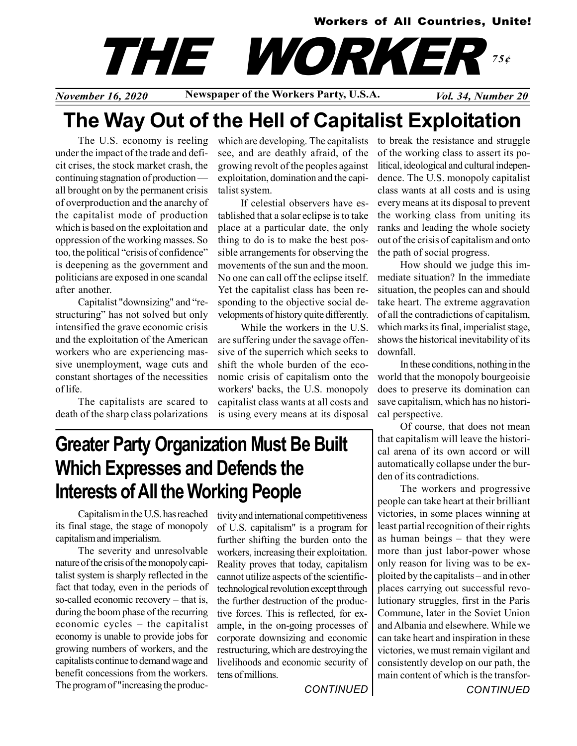### Workers of All Countries, Unite!

# THE WORKER 75¢

November 16, 2020 Newspaper of the Workers Party, U.S.A.  $Vol. 34$ , Number 20

## The Way Out of the Hell of Capitalist Exploitation

The U.S. economy is reeling under the impact of the trade and deficit crises, the stock market crash, the continuing stagnation of production all brought on by the permanent crisis of overproduction and the anarchy of the capitalist mode of production which is based on the exploitation and oppression of the working masses. So too, the political "crisis of confidence" is deepening as the government and politicians are exposed in one scandal after another.

Capitalist "downsizing" and "restructuring" has not solved but only intensified the grave economic crisis and the exploitation of the American workers who are experiencing massive unemployment, wage cuts and constant shortages of the necessities of life.

The capitalists are scared to death of the sharp class polarizations which are developing. The capitalists see, and are deathly afraid, of the growing revolt of the peoples against exploitation, domination and the capitalist system.

If celestial observers have established that a solar eclipse is to take place at a particular date, the only thing to do is to make the best possible arrangements for observing the movements of the sun and the moon. No one can call off the eclipse itself. Yet the capitalist class has been responding to the objective social developments of history quite differently.

While the workers in the U.S. are suffering under the savage offensive of the superrich which seeks to shift the whole burden of the economic crisis of capitalism onto the workers' backs, the U.S. monopoly capitalist class wants at all costs and is using every means at its disposal to break the resistance and struggle of the working class to assert its political, ideological and cultural independence. The U.S. monopoly capitalist class wants at all costs and is using every means at its disposal to prevent the working class from uniting its ranks and leading the whole society out of the crisis of capitalism and onto the path of social progress.

How should we judge this immediate situation? In the immediate situation, the peoples can and should take heart. The extreme aggravation of all the contradictions of capitalism, which marks its final, imperialist stage, shows the historical inevitability of its downfall.

In these conditions, nothing in the world that the monopoly bourgeoisie does to preserve its domination can save capitalism, which has no historical perspective.

Of course, that does not mean that capitalism will leave the historical arena of its own accord or will automatically collapse under the burden of its contradictions.

The workers and progressive people can take heart at their brilliant victories, in some places winning at least partial recognition of their rights as human beings – that they were more than just labor-power whose only reason for living was to be exploited by the capitalists – and in other places carrying out successful revolutionary struggles, first in the Paris Commune, later in the Soviet Union and Albania and elsewhere. While we can take heart and inspiration in these victories, we must remain vigilant and consistently develop on our path, the main content of which is the transfor-

Greater Party Organization Must Be Built Which Expresses and Defends the Interests of All the Working People

Capitalism in the U.S. has reached its final stage, the stage of monopoly capitalism and imperialism.

The severity and unresolvable nature of the crisis of the monopoly capitalist system is sharply reflected in the fact that today, even in the periods of so-called economic recovery – that is, during the boom phase of the recurring economic cycles – the capitalist economy is unable to provide jobs for growing numbers of workers, and the capitalists continue to demand wage and benefit concessions from the workers. The program of "increasing the productivity and international competitiveness of U.S. capitalism" is a program for further shifting the burden onto the workers, increasing their exploitation. Reality proves that today, capitalism cannot utilize aspects of the scientifictechnological revolution except through the further destruction of the productive forces. This is reflected, for example, in the on-going processes of corporate downsizing and economic restructuring, which are destroying the livelihoods and economic security of tens of millions.

**CONTINUED** 

**CONTINUED**